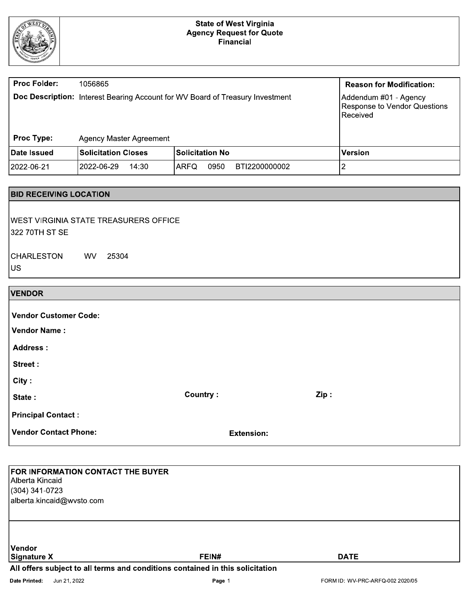

# State of West Virginia<br>Agency Request for Quote<br>Financial

| <b>Proc Folder:</b> | 1056865                    |                                                                                      | <b>Reason for Modification:</b>                                     |
|---------------------|----------------------------|--------------------------------------------------------------------------------------|---------------------------------------------------------------------|
| <b>Proc Type:</b>   | Agency Master Agreement    | <b>Doc Description:</b> Interest Bearing Account for WV Board of Treasury Investment | Addendum #01 - Agency<br>Response to Vendor Questions<br>l Received |
|                     |                            |                                                                                      |                                                                     |
| Date Issued         | <b>Solicitation Closes</b> | <b>Solicitation No</b>                                                               | <b>Version</b>                                                      |
| 2022-06-21          | l2022-06-29_<br>14:30      | 0950<br><b>ARFQ</b><br>BTI2200000002                                                 |                                                                     |

# **BID RECEIVING LOCATION**

| WEST VIRGINIA STATE TREASURERS OFFICE |  |  |
|---------------------------------------|--|--|
| 322 70TH ST SE                        |  |  |
|                                       |  |  |

| <b>CHARLESTON</b> | WV. | 25304 |
|-------------------|-----|-------|
| US.               |     |       |

| <b>VENDOR</b>                |                 |                   |      |
|------------------------------|-----------------|-------------------|------|
|                              |                 |                   |      |
| <b>Vendor Customer Code:</b> |                 |                   |      |
| <b>Vendor Name:</b>          |                 |                   |      |
| <b>Address:</b>              |                 |                   |      |
| Street:                      |                 |                   |      |
| City:                        |                 |                   |      |
| State:                       | <b>Country:</b> |                   | Zip: |
| <b>Principal Contact:</b>    |                 |                   |      |
| <b>Vendor Contact Phone:</b> |                 | <b>Extension:</b> |      |

| <b>FOR INFORMATION CONTACT THE BUYER</b><br>Alberta Kincaid<br>$(304)$ 341-0723<br>alberta.kincaid@wvsto.com |                                                                               |             |  |
|--------------------------------------------------------------------------------------------------------------|-------------------------------------------------------------------------------|-------------|--|
| Vendor<br>Signature X                                                                                        | FEIN#                                                                         | <b>DATE</b> |  |
|                                                                                                              | All offers subject to all terms and conditions contained in this solicitation |             |  |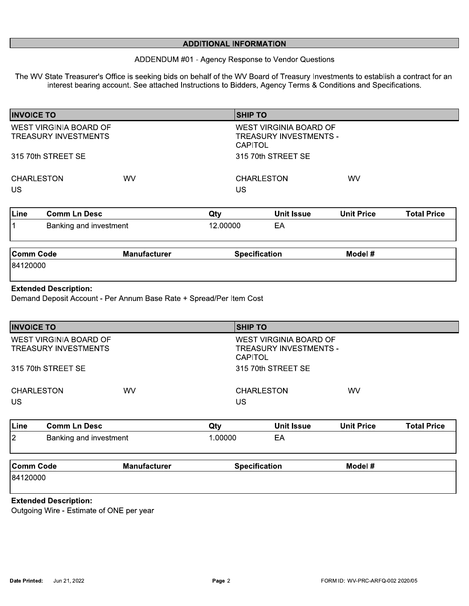| <b>ADDITIONAL INFORMATION</b><br>ADDENDUM #01 - Agency Response to Vendor Questions |                                                                                                                                                                                                                                                   |        |                                                                           |    |                   |  |  |  |
|-------------------------------------------------------------------------------------|---------------------------------------------------------------------------------------------------------------------------------------------------------------------------------------------------------------------------------------------------|--------|---------------------------------------------------------------------------|----|-------------------|--|--|--|
|                                                                                     | The WV State Treasurer's Office is seeking bids on behalf of the WV Board of Treasury Investments to establish a contract for an<br>interest bearing account. See attached Instructions to Bidders, Agency Terms & Conditions and Specifications. |        |                                                                           |    |                   |  |  |  |
| <b>INVOICE TO</b>                                                                   |                                                                                                                                                                                                                                                   |        | <b>SHIP TO</b>                                                            |    |                   |  |  |  |
| WEST VIRGINIA BOARD OF<br><b>TREASURY INVESTMENTS</b>                               |                                                                                                                                                                                                                                                   |        | <b>WEST VIRGINIA BOARD OF</b><br>TREASURY INVESTMENTS -<br><b>CAPITOL</b> |    |                   |  |  |  |
| 315 70th STREET SE                                                                  |                                                                                                                                                                                                                                                   |        | 315 70th STREET SE                                                        |    |                   |  |  |  |
| <b>CHARLESTON</b><br>US.                                                            | WV                                                                                                                                                                                                                                                |        | <b>CHARLESTON</b><br>US                                                   | WV |                   |  |  |  |
| $1.314 \times 10^{-1}$                                                              |                                                                                                                                                                                                                                                   | $\sim$ | 11.11111122222                                                            |    | T - 4 - 1 Dec - - |  |  |  |

| Line | Comm Ln Desc           | Qty      | Unit Issue | Unit Price | <b>Total Price</b> |
|------|------------------------|----------|------------|------------|--------------------|
|      | Banking and investment | 12.00000 | $-4$       |            |                    |
|      |                        |          |            |            |                    |

| <b>Comm Code</b> | <b>Manufacturer</b> | Specification | Model # |
|------------------|---------------------|---------------|---------|
| 84120000         |                     |               |         |

### Extended Description:

Demand Deposit Account - Per Annum Base Rate + Spread/Per Item Cost

| <b>INVOICE TO</b>                                            |           | <b>SHIP TO</b>                                                     |           |
|--------------------------------------------------------------|-----------|--------------------------------------------------------------------|-----------|
| <b>WEST VIRGINIA BOARD OF</b><br><b>TREASURY INVESTMENTS</b> |           | WEST VIRGINIA BOARD OF<br>TREASURY INVESTMENTS -<br><b>CAPITOL</b> |           |
| 315 70th STREET SE                                           |           | 315 70th STREET SE                                                 |           |
| <b>CHARLESTON</b><br><b>US</b>                               | <b>WV</b> | <b>CHARLESTON</b><br>US                                            | <b>WV</b> |

| ∣Line     | <b>Comm Ln Desc</b>           |                     | Qty     | <b>Unit Issue</b>    | <b>Unit Price</b> | <b>Total Price</b> |
|-----------|-------------------------------|---------------------|---------|----------------------|-------------------|--------------------|
| 2         | Banking and investment        |                     | 1.00000 | EΑ                   |                   |                    |
| Comm Code |                               | <b>Manufacturer</b> |         | <b>Specification</b> | Model #           |                    |
| 84120000  |                               |                     |         |                      |                   |                    |
|           | <b>Protected Manufacturer</b> |                     |         |                      |                   |                    |

## Extended Description:

Outgoing Wire - Estimate of ONE per year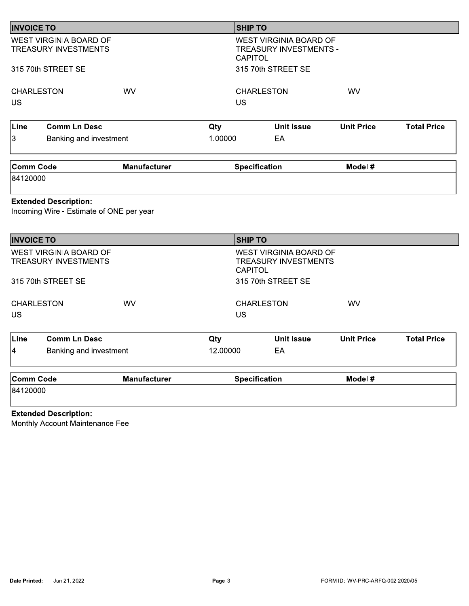| <b>INVOICE TO</b>                                 |                                                                                    |                     | <b>SHIP TO</b>                   |                                                                               |                   |                    |
|---------------------------------------------------|------------------------------------------------------------------------------------|---------------------|----------------------------------|-------------------------------------------------------------------------------|-------------------|--------------------|
|                                                   | <b>WEST VIRGINIA BOARD OF</b><br><b>TREASURY INVESTMENTS</b><br>315 70th STREET SE |                     | <b>CAPITOL</b>                   | <b>WEST VIRGINIA BOARD OF</b><br>TREASURY INVESTMENTS -<br>315 70th STREET SE |                   |                    |
| <b>CHARLESTON</b>                                 |                                                                                    | <b>WV</b>           |                                  | <b>CHARLESTON</b>                                                             | <b>WV</b>         |                    |
| <b>US</b>                                         |                                                                                    |                     | <b>US</b>                        |                                                                               |                   |                    |
| Line                                              | <b>Comm Ln Desc</b>                                                                |                     | Qty                              | <b>Unit Issue</b>                                                             | <b>Unit Price</b> | <b>Total Price</b> |
| 3                                                 | Banking and investment                                                             |                     | 1.00000                          | EA                                                                            |                   |                    |
|                                                   |                                                                                    |                     |                                  |                                                                               |                   |                    |
|                                                   | <b>Extended Description:</b>                                                       | <b>Manufacturer</b> |                                  | <b>Specification</b>                                                          | Model #           |                    |
|                                                   | Incoming Wire - Estimate of ONE per year                                           |                     |                                  |                                                                               |                   |                    |
| <b>Comm Code</b><br>84120000<br><b>INVOICE TO</b> | WEST VIRGINIA BOARD OF<br><b>TREASURY INVESTMENTS</b>                              |                     | <b>SHIP TO</b><br><b>CAPITOL</b> | WEST VIRGINIA BOARD OF<br>TREASURY INVESTMENTS -                              |                   |                    |
|                                                   | 315 70th STREET SE                                                                 | <b>WV</b>           | <b>US</b>                        | 315 70th STREET SE<br><b>CHARLESTON</b>                                       | <b>WV</b>         |                    |
|                                                   | <b>Comm Ln Desc</b>                                                                |                     | Qty                              | <b>Unit Issue</b>                                                             | <b>Unit Price</b> |                    |
| <b>CHARLESTON</b><br><b>US</b><br>Line<br>4       | Banking and investment                                                             |                     | 12.00000                         | EA                                                                            |                   | <b>Total Price</b> |

# Extended Description:

Monthly Account Maintenance Fee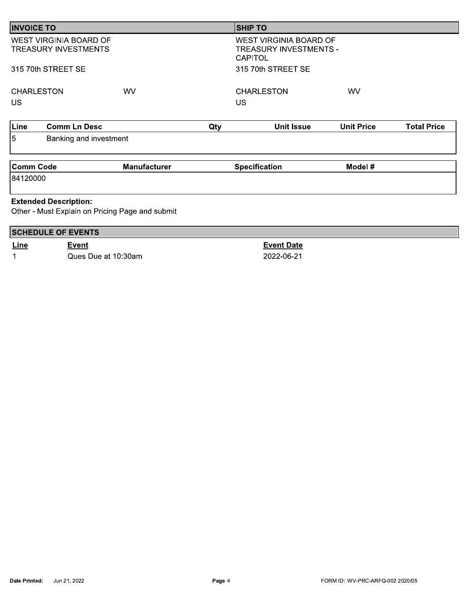| <b>INVOICE TO</b>                                                               |                                                              |                     |     | <b>SHIP TO</b>                                                                   |                   |                    |
|---------------------------------------------------------------------------------|--------------------------------------------------------------|---------------------|-----|----------------------------------------------------------------------------------|-------------------|--------------------|
|                                                                                 | <b>WEST VIRGINIA BOARD OF</b><br><b>TREASURY INVESTMENTS</b> |                     |     | <b>WEST VIRGINIA BOARD OF</b><br><b>TREASURY INVESTMENTS -</b><br><b>CAPITOL</b> |                   |                    |
|                                                                                 | 315 70th STREET SE                                           |                     |     | 315 70th STREET SE                                                               |                   |                    |
| <b>CHARLESTON</b><br><b>US</b>                                                  |                                                              | WV                  |     | <b>CHARLESTON</b><br><b>US</b>                                                   | <b>WV</b>         |                    |
| Line                                                                            | <b>Comm Ln Desc</b>                                          |                     | Qty | <b>Unit Issue</b>                                                                | <b>Unit Price</b> | <b>Total Price</b> |
| 5                                                                               | Banking and investment                                       |                     |     |                                                                                  |                   |                    |
| <b>Comm Code</b>                                                                |                                                              | <b>Manufacturer</b> |     | <b>Specification</b>                                                             | Model #           |                    |
| 84120000                                                                        |                                                              |                     |     |                                                                                  |                   |                    |
| <b>Extended Description:</b><br>Other - Must Explain on Pricing Page and submit |                                                              |                     |     |                                                                                  |                   |                    |
|                                                                                 | <b>SCHEDULE OF EVENTS</b>                                    |                     |     |                                                                                  |                   |                    |
| Line                                                                            | Event                                                        |                     |     | <b>Event Date</b>                                                                |                   |                    |

2022-06-21

 $\overline{1}$ Ques Due at 10:30am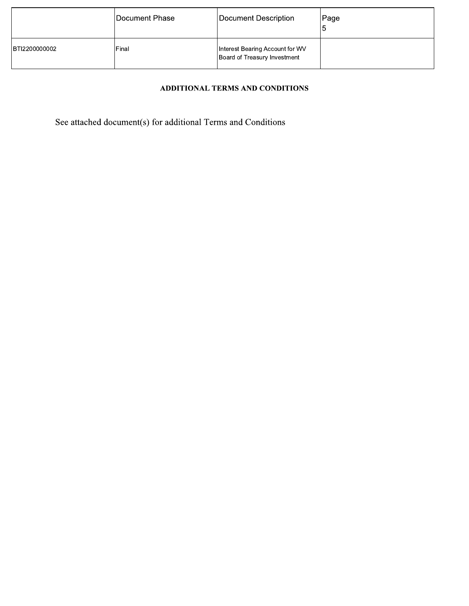|               | Document Phase | Document Description                                            | Page |
|---------------|----------------|-----------------------------------------------------------------|------|
| BTI2200000002 | Final          | Interest Bearing Account for WV<br>Board of Treasury Investment |      |

# ADDITIONAL TERMS AND CONDITIONS

See attached document(s) for additional Terms and Conditions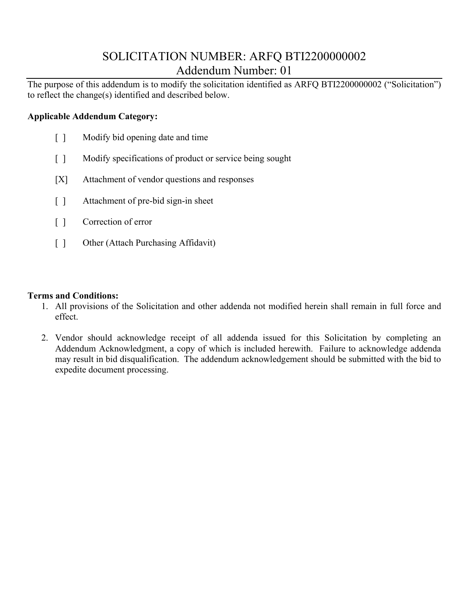# SOLICITATION NUMBER: ARFQ BTI2200000002 Addendum Number: 01

The purpose of this addendum is to modify the solicitation identified as ARFQ BTI2200000002 ("Solicitation") to reflect the change(s) identified and described below.

# **Applicable Addendum Category:**

- [ ] Modify bid opening date and time
- [ ] Modify specifications of product or service being sought
- [X] Attachment of vendor questions and responses
- [] Attachment of pre-bid sign-in sheet
- [ ] Correction of error
- [ ] Other (Attach Purchasing Affidavit)

# **Terms and Conditions:**

- 1. All provisions of the Solicitation and other addenda not modified herein shall remain in full force and effect.
- 2. Vendor should acknowledge receipt of all addenda issued for this Solicitation by completing an Addendum Acknowledgment, a copy of which is included herewith. Failure to acknowledge addenda may result in bid disqualification. The addendum acknowledgement should be submitted with the bid to expedite document processing.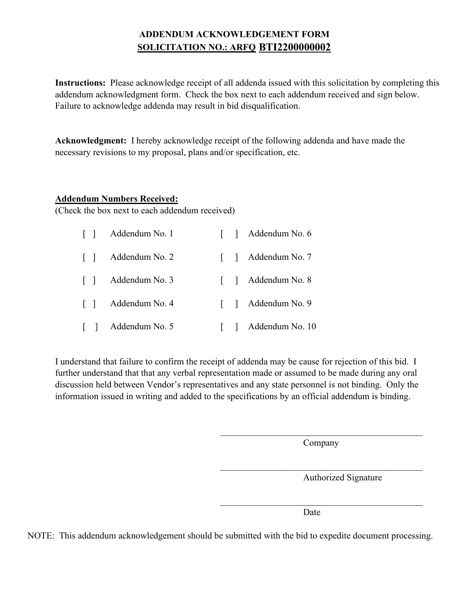# **ADDENDUM ACKNOWLEDGEMENT FORM SOLICITATION NO.: ARFQ BTI2200000002**

**Instructions:** Please acknowledge receipt of all addenda issued with this solicitation by completing this addendum acknowledgment form. Check the box next to each addendum received and sign below. Failure to acknowledge addenda may result in bid disqualification.

**Acknowledgment:** I hereby acknowledge receipt of the following addenda and have made the necessary revisions to my proposal, plans and/or specification, etc.

# **Addendum Numbers Received:**

(Check the box next to each addendum received)

| $\Box$ | Addendum No. 1 |  | [ ] Addendum No. 6  |
|--------|----------------|--|---------------------|
| $\Box$ | Addendum No. 2 |  | [ ] Addendum No. 7  |
| $\Box$ | Addendum No. 3 |  | [ ] Addendum No. 8  |
| $\Box$ | Addendum No. 4 |  | [ ] Addendum No. 9  |
|        | Addendum No. 5 |  | [ ] Addendum No. 10 |

I understand that failure to confirm the receipt of addenda may be cause for rejection of this bid. I further understand that that any verbal representation made or assumed to be made during any oral discussion held between Vendor's representatives and any state personnel is not binding. Only the information issued in writing and added to the specifications by an official addendum is binding.

Company

 $\mathcal{L}_\text{max}$  and  $\mathcal{L}_\text{max}$  and  $\mathcal{L}_\text{max}$  and  $\mathcal{L}_\text{max}$  and  $\mathcal{L}_\text{max}$ 

 $\mathcal{L}_\mathcal{L}$  , which is a set of the set of the set of the set of the set of the set of the set of the set of the set of the set of the set of the set of the set of the set of the set of the set of the set of the set of

Authorized Signature

Date

NOTE: This addendum acknowledgement should be submitted with the bid to expedite document processing.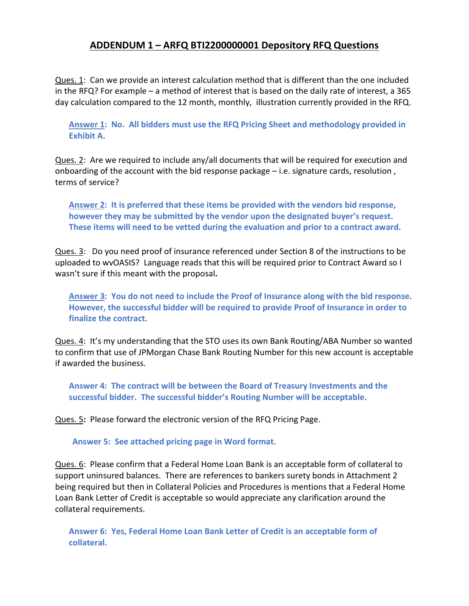# **ADDENDUM 1 – ARFQ BTI2200000001 Depository RFQ Questions**

Ques. 1: Can we provide an interest calculation method that is different than the one included in the RFQ? For example – a method of interest that is based on the daily rate of interest, a 365 day calculation compared to the 12 month, monthly, illustration currently provided in the RFQ.

**Answer 1: No. All bidders must use the RFQ Pricing Sheet and methodology provided in Exhibit A.**

Ques. 2: Are we required to include any/all documents that will be required for execution and onboarding of the account with the bid response package – i.e. signature cards, resolution , terms of service?

**Answer 2: It is preferred that these items be provided with the vendors bid response, however they may be submitted by the vendor upon the designated buyer's request. These items will need to be vetted during the evaluation and prior to a contract award.**

Ques. 3: Do you need proof of insurance referenced under Section 8 of the instructions to be uploaded to wvOASIS? Language reads that this will be required prior to Contract Award so I wasn't sure if this meant with the proposal**.** 

**Answer 3: You do not need to include the Proof of Insurance along with the bid response. However, the successful bidder will be required to provide Proof of Insurance in order to finalize the contract.**

Ques. 4: It's my understanding that the STO uses its own Bank Routing/ABA Number so wanted to confirm that use of JPMorgan Chase Bank Routing Number for this new account is acceptable if awarded the business.

**Answer 4: The contract will be between the Board of Treasury Investments and the successful bidder. The successful bidder's Routing Number will be acceptable.**

Ques. 5**:** Please forward the electronic version of the RFQ Pricing Page.

**Answer 5: See attached pricing page in Word format**.

Ques. 6:Please confirm that a Federal Home Loan Bank is an acceptable form of collateral to support uninsured balances. There are references to bankers surety bonds in Attachment 2 being required but then in Collateral Policies and Procedures is mentions that a Federal Home Loan Bank Letter of Credit is acceptable so would appreciate any clarification around the collateral requirements.

**Answer 6: Yes, Federal Home Loan Bank Letter of Credit is an acceptable form of collateral.**